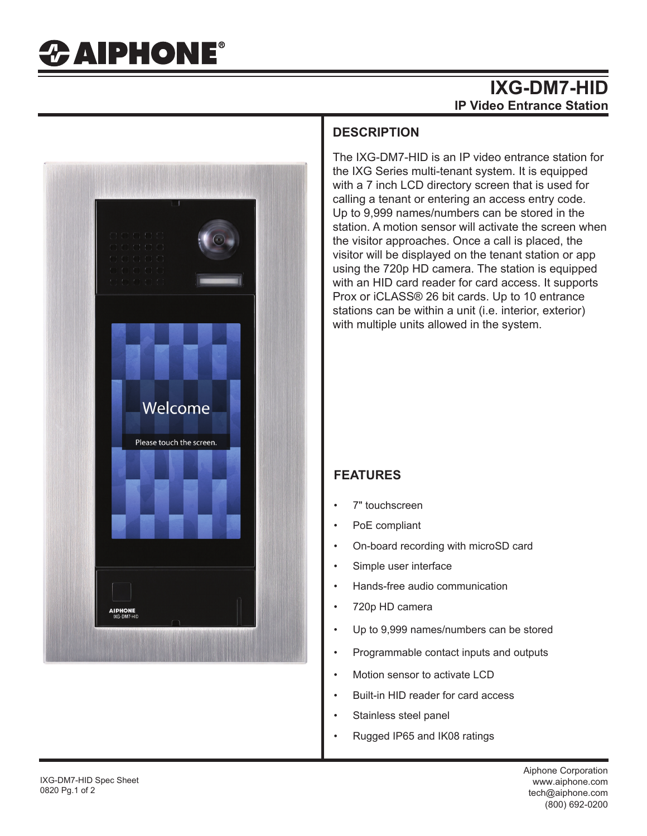## **IXG-DM7-HID IP Video Entrance Station**



#### **DESCRIPTION**

The IXG-DM7-HID is an IP video entrance station for the IXG Series multi-tenant system. It is equipped with a 7 inch LCD directory screen that is used for calling a tenant or entering an access entry code. Up to 9,999 names/numbers can be stored in the station. A motion sensor will activate the screen when the visitor approaches. Once a call is placed, the visitor will be displayed on the tenant station or app using the 720p HD camera. The station is equipped with an HID card reader for card access. It supports Prox or iCLASS® 26 bit cards. Up to 10 entrance stations can be within a unit (i.e. interior, exterior) with multiple units allowed in the system.

## **FEATURES**

- 7" touchscreen
- PoE compliant
- On-board recording with microSD card
- Simple user interface
- Hands-free audio communication
- 720p HD camera
- Up to 9,999 names/numbers can be stored
- Programmable contact inputs and outputs
- Motion sensor to activate LCD
- Built-in HID reader for card access
- Stainless steel panel
- Rugged IP65 and IK08 ratings

Aiphone Corporation (800) 692-0200 tech@aiphone.com www.aiphone.com